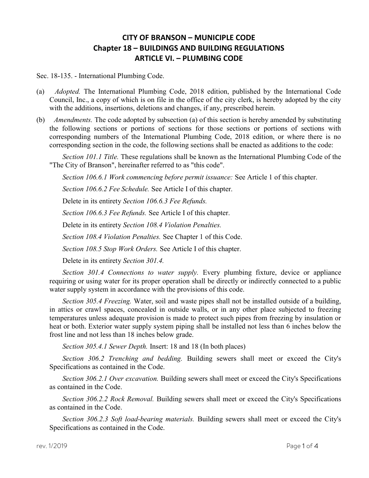## CITY OF BRANSON – MUNICIPLE CODE Chapter 18 – BUILDINGS AND BUILDING REGULATIONS ARTICLE VI. – PLUMBING CODE

Sec. 18-135. - International Plumbing Code.

- (a) Adopted. The International Plumbing Code, 2018 edition, published by the International Code Council, Inc., a copy of which is on file in the office of the city clerk, is hereby adopted by the city with the additions, insertions, deletions and changes, if any, prescribed herein.
- (b) Amendments. The code adopted by subsection (a) of this section is hereby amended by substituting the following sections or portions of sections for those sections or portions of sections with corresponding numbers of the International Plumbing Code, 2018 edition, or where there is no corresponding section in the code, the following sections shall be enacted as additions to the code:

Section 101.1 Title. These regulations shall be known as the International Plumbing Code of the "The City of Branson", hereinafter referred to as "this code".

Section 106.6.1 Work commencing before permit issuance: See Article 1 of this chapter.

Section 106.6.2 Fee Schedule. See Article I of this chapter.

Delete in its entirety Section 106.6.3 Fee Refunds.

Section 106.6.3 Fee Refunds. See Article I of this chapter.

Delete in its entirety Section 108.4 Violation Penalties.

Section 108.4 Violation Penalties. See Chapter 1 of this Code.

Section 108.5 Stop Work Orders. See Article I of this chapter.

Delete in its entirety Section 301.4.

Section 301.4 Connections to water supply. Every plumbing fixture, device or appliance requiring or using water for its proper operation shall be directly or indirectly connected to a public water supply system in accordance with the provisions of this code.

Section 305.4 Freezing. Water, soil and waste pipes shall not be installed outside of a building, in attics or crawl spaces, concealed in outside walls, or in any other place subjected to freezing temperatures unless adequate provision is made to protect such pipes from freezing by insulation or heat or both. Exterior water supply system piping shall be installed not less than 6 inches below the frost line and not less than 18 inches below grade.

Section 305.4.1 Sewer Depth. Insert: 18 and 18 (In both places)

Section 306.2 Trenching and bedding. Building sewers shall meet or exceed the City's Specifications as contained in the Code.

Section 306.2.1 Over excavation. Building sewers shall meet or exceed the City's Specifications as contained in the Code.

Section 306.2.2 Rock Removal. Building sewers shall meet or exceed the City's Specifications as contained in the Code.

Section 306.2.3 Soft load-bearing materials. Building sewers shall meet or exceed the City's Specifications as contained in the Code.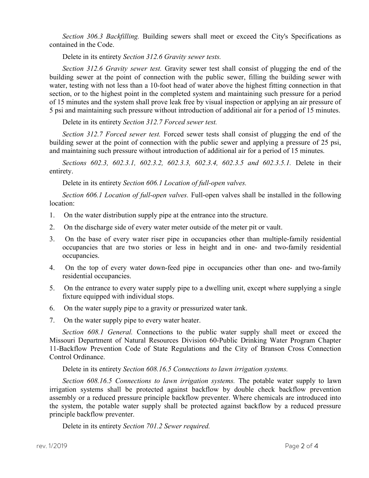Section 306.3 Backfilling. Building sewers shall meet or exceed the City's Specifications as contained in the Code.

Delete in its entirety Section 312.6 Gravity sewer tests.

Section 312.6 Gravity sewer test. Gravity sewer test shall consist of plugging the end of the building sewer at the point of connection with the public sewer, filling the building sewer with water, testing with not less than a 10-foot head of water above the highest fitting connection in that section, or to the highest point in the completed system and maintaining such pressure for a period of 15 minutes and the system shall prove leak free by visual inspection or applying an air pressure of 5 psi and maintaining such pressure without introduction of additional air for a period of 15 minutes.

Delete in its entirety Section 312.7 Forced sewer test.

Section 312.7 Forced sewer test. Forced sewer tests shall consist of plugging the end of the building sewer at the point of connection with the public sewer and applying a pressure of 25 psi, and maintaining such pressure without introduction of additional air for a period of 15 minutes.

Sections 602.3, 602.3.1, 602.3.2, 602.3.3, 602.3.4, 602.3.5 and 602.3.5.1. Delete in their entirety.

Delete in its entirety Section 606.1 Location of full-open valves.

Section 606.1 Location of full-open valves. Full-open valves shall be installed in the following location:

- 1. On the water distribution supply pipe at the entrance into the structure.
- 2. On the discharge side of every water meter outside of the meter pit or vault.
- 3. On the base of every water riser pipe in occupancies other than multiple-family residential occupancies that are two stories or less in height and in one- and two-family residential occupancies.
- 4. On the top of every water down-feed pipe in occupancies other than one- and two-family residential occupancies.
- 5. On the entrance to every water supply pipe to a dwelling unit, except where supplying a single fixture equipped with individual stops.
- 6. On the water supply pipe to a gravity or pressurized water tank.
- 7. On the water supply pipe to every water heater.

Section 608.1 General. Connections to the public water supply shall meet or exceed the Missouri Department of Natural Resources Division 60-Public Drinking Water Program Chapter 11-Backflow Prevention Code of State Regulations and the City of Branson Cross Connection Control Ordinance.

Delete in its entirety Section 608.16.5 Connections to lawn irrigation systems.

Section 608.16.5 Connections to lawn irrigation systems. The potable water supply to lawn irrigation systems shall be protected against backflow by double check backflow prevention assembly or a reduced pressure principle backflow preventer. Where chemicals are introduced into the system, the potable water supply shall be protected against backflow by a reduced pressure principle backflow preventer.

Delete in its entirety Section 701.2 Sewer required.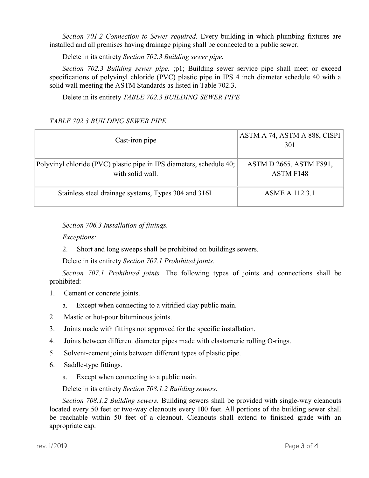Section 701.2 Connection to Sewer required. Every building in which plumbing fixtures are installed and all premises having drainage piping shall be connected to a public sewer.

Delete in its entirety Section 702.3 Building sewer pipe.

Section 702.3 Building sewer pipe. ;p1; Building sewer service pipe shall meet or exceed specifications of polyvinyl chloride (PVC) plastic pipe in IPS 4 inch diameter schedule 40 with a solid wall meeting the ASTM Standards as listed in Table 702.3.

Delete in its entirety TABLE 702.3 BUILDING SEWER PIPE

## TABLE 702.3 BUILDING SEWER PIPE

| Cast-iron pipe                                                                           | ASTM A 74, ASTM A 888, CISPI<br>301         |
|------------------------------------------------------------------------------------------|---------------------------------------------|
| Polyvinyl chloride (PVC) plastic pipe in IPS diameters, schedule 40;<br>with solid wall. | ASTM D 2665, ASTM F891,<br><b>ASTM F148</b> |
| Stainless steel drainage systems, Types 304 and 316L                                     | <b>ASME A 112.3.1</b>                       |

Section 706.3 Installation of fittings.

Exceptions:

2. Short and long sweeps shall be prohibited on buildings sewers.

Delete in its entirety Section 707.1 Prohibited joints.

Section 707.1 Prohibited joints. The following types of joints and connections shall be prohibited:

- 1. Cement or concrete joints.
	- a. Except when connecting to a vitrified clay public main.
- 2. Mastic or hot-pour bituminous joints.
- 3. Joints made with fittings not approved for the specific installation.
- 4. Joints between different diameter pipes made with elastomeric rolling O-rings.
- 5. Solvent-cement joints between different types of plastic pipe.
- 6. Saddle-type fittings.
	- a. Except when connecting to a public main.

Delete in its entirety Section 708.1.2 Building sewers.

Section 708.1.2 Building sewers. Building sewers shall be provided with single-way cleanouts located every 50 feet or two-way cleanouts every 100 feet. All portions of the building sewer shall be reachable within 50 feet of a cleanout. Cleanouts shall extend to finished grade with an appropriate cap.